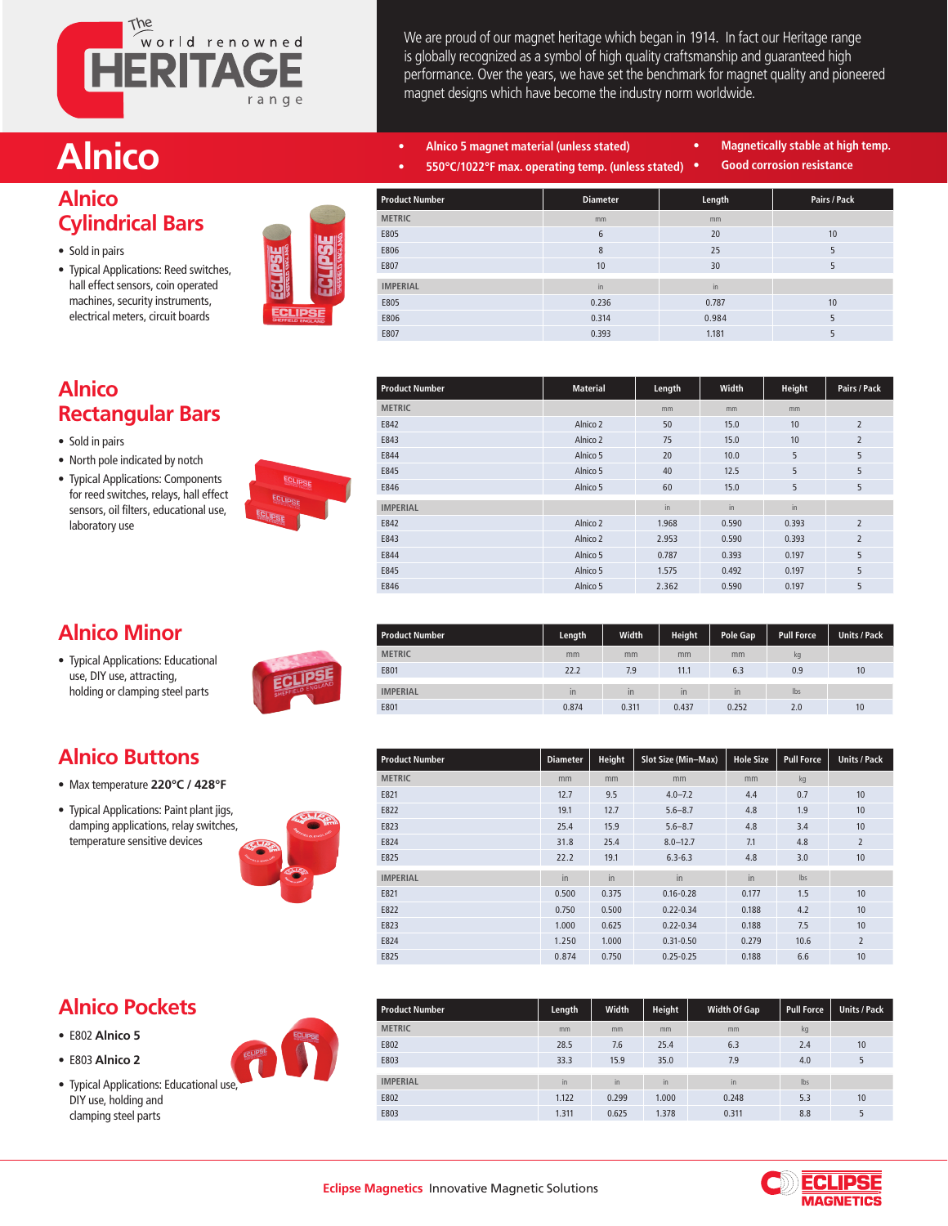

We are proud of our magnet heritage which began in 1914. In fact our Heritage range is globally recognized as a symbol of high quality craftsmanship and guaranteed high performance. Over the years, we have set the benchmark for magnet quality and pioneered magnet designs which have become the industry norm worldwide.

- **Alnico • Alnico 5 magnet material (unless stated) • 550°C/1022°F max. operating temp. (unless stated)**
	-
- **• Magnetically stable at high temp.**
- **• Good corrosion resistance**

# **Alnico**

### **Cylindrical Bars**

- Sold in pairs
- Typical Applications: Reed switches, hall effect sensors, coin operated • machines, security instruments, electrical meters, circuit boards



| <b>Product Number</b> | <b>Diameter</b> | Length | Pairs / Pack |
|-----------------------|-----------------|--------|--------------|
| <b>METRIC</b>         | mm              | mm     |              |
| E805                  | 6               | 20     | 10           |
| E806                  | 8               | 25     | 5            |
| E807                  | 10              | 30     | 5            |
| <b>IMPERIAL</b>       | in              | in.    |              |
| E805                  | 0.236           | 0.787  | 10           |
| E806                  | 0.314           | 0.984  | 5            |
| E807                  | 0.393           | 1.181  | 5            |

#### **Alnico Rectangular Bars**

- Sold in pairs
- North pole indicated by notch
- Typical Applications: Components for reed switches, relays, hall effect • sensors, oil filters, educational use, laboratory use



| Product Number  | <b>Material</b> | Length | Width | Height | Pairs / Pack   |
|-----------------|-----------------|--------|-------|--------|----------------|
| <b>METRIC</b>   |                 | mm     | mm    | mm     |                |
| E842            | Alnico 2        | 50     | 15.0  | 10     | $\overline{2}$ |
| E843            | Alnico 2        | 75     | 15.0  | 10     | $\overline{2}$ |
| E844            | Alnico 5        | 20     | 10.0  | 5      | 5              |
| E845            | Alnico 5        | 40     | 12.5  | 5      | 5              |
| E846            | Alnico 5        | 60     | 15.0  | 5      | 5              |
| <b>IMPERIAL</b> |                 | in     | in    | in     |                |
| E842            | Alnico 2        | 1.968  | 0.590 | 0.393  | $\overline{2}$ |
| E843            | Alnico 2        | 2.953  | 0.590 | 0.393  | $\overline{2}$ |
| E844            | Alnico 5        | 0.787  | 0.393 | 0.197  | 5              |
| E845            | Alnico 5        | 1.575  | 0.492 | 0.197  | 5              |
| E846            | Alnico 5        | 2.362  | 0.590 | 0.197  | 5              |
|                 |                 |        |       |        |                |

| <b>Alnico Minor</b> |
|---------------------|
|---------------------|

• Typical Applications: Educational use, DIY use, attracting, • holding or clamping steel parts

**Alnico Buttons** • Max temperature **220°C / 428°F** • Typical Applications: Paint plant jigs, • damping applications, relay switches, temperature sensitive devices



| <b>Product Number</b> | Length | Width        | <b>Height</b> | <b>Pole Gap</b> | <b>Pull Force</b> | <b>Units / Pack</b> |
|-----------------------|--------|--------------|---------------|-----------------|-------------------|---------------------|
| <b>METRIC</b>         | mm     | mm           | mm            | mm              | kg                |                     |
| E801                  | 22.2   | 7.9          | 11.1          | 6.3             | 0.9               | 10                  |
|                       |        |              |               |                 |                   |                     |
| <b>IMPERIAL</b>       | in     | $\mathsf{I}$ | $\mathsf{I}$  | in              | lbs               |                     |
| E801                  | 0.874  | 0.311        | 0.437         | 0.252           | 2.0               | 10                  |

| <b>Product Number</b> | <b>Diameter</b> | Height | Slot Size (Min-Max) | <b>Hole Size</b> | <b>Pull Force</b> | <b>Units / Pack</b> |
|-----------------------|-----------------|--------|---------------------|------------------|-------------------|---------------------|
| <b>METRIC</b>         | mm              | mm     | mm                  | mm               | kg                |                     |
| E821                  | 12.7            | 9.5    | $4.0 - 7.2$         | 4.4              | 0.7               | 10                  |
| E822                  | 19.1            | 12.7   | $5.6 - 8.7$         | 4.8              | 1.9               | 10                  |
| E823                  | 25.4            | 15.9   | $5.6 - 8.7$         | 4.8              | 3.4               | 10                  |
| E824                  | 31.8            | 25.4   | $8.0 - 12.7$        | 7.1              | 4.8               | $\overline{2}$      |
| E825                  | 22.2            | 19.1   | $6.3 - 6.3$         | 4.8              | 3.0               | 10                  |
| <b>IMPERIAL</b>       | in              | in     | in                  | in               | Ibs               |                     |
| E821                  | 0.500           | 0.375  | $0.16 - 0.28$       | 0.177            | 1.5               | 10                  |
| E822                  | 0.750           | 0.500  | $0.22 - 0.34$       | 0.188            | 4.2               | 10                  |
| E823                  | 1.000           | 0.625  | $0.22 - 0.34$       | 0.188            | 7.5               | 10                  |
| E824                  | 1.250           | 1.000  | $0.31 - 0.50$       | 0.279            | 10.6              | $\overline{2}$      |
| E825                  | 0.874           | 0.750  | $0.25 - 0.25$       | 0.188            | 6.6               | 10                  |

#### **Alnico Pockets**

- E802 **Alnico 5** • E803 **Alnico 2**
- Typical Applications: Educational use, DIY use, holding and • clamping steel parts

| <b>Product Number</b> | Length | <b>Width</b> | Height | <b>Width Of Gap</b> | <b>Pull Force</b> | <b>Units / Pack</b> |
|-----------------------|--------|--------------|--------|---------------------|-------------------|---------------------|
| <b>METRIC</b>         | mm     | mm           | mm     | mm                  | kg                |                     |
| E802                  | 28.5   | 7.6          | 25.4   | 6.3                 | 2.4               | 10                  |
| E803                  | 33.3   | 15.9         | 35.0   | 7.9                 | 4.0               | 5                   |
| <b>IMPERIAL</b>       | in     | in           | in     | in                  | lbs               |                     |
| E802                  | 1.122  | 0.299        | 1.000  | 0.248               | 5.3               | 10                  |
| E803                  | 1.311  | 0.625        | 1.378  | 0.311               | 8.8               | 5                   |